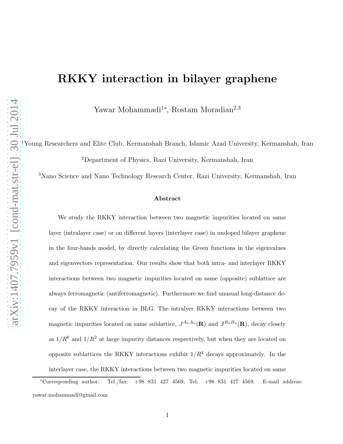# RKKY interaction in bilayer graphene

Yawar Mohammadi<sup>1∗</sup>, Rostam Moradian<sup>2,3</sup>

<sup>1</sup>Young Researchers and Elite Club, Kermanshah Branch, Islamic Azad University, Kermanshah, Iran <sup>2</sup>Department of Physics, Razi University, Kermanshah, Iran

<sup>3</sup>Nano Science and Nano Technology Research Center, Razi University, Kermanshah, Iran

#### Abstract

We study the RKKY interaction between two magnetic impurities located on same layer (intralayer case) or on different layers (interlayer case) in undoped bilayer graphene in the four-bands model, by directly calculating the Green functions in the eigenvalues and eigenvectors representation. Our results show that both intra- and interlayer RKKY interactions between two magnetic impurities located on same (opposite) sublattice are always ferromagnetic (antiferromagnetic). Furthermore we find unusual long-distance decay of the RKKY interaction in BLG. The intralyer RKKY interactions between two magnetic impurities located on same sublattice,  $J^{A_n A_n}(\mathbf{R})$  and  $J^{B_n B_n}(\mathbf{R})$ , decay closely as  $1/R^6$  and  $1/R^2$  at large impurity distances respectively, but when they are located on opposite sublattices the RKKY interactions exhibit  $1/R<sup>4</sup>$  decays approximately. In the interlayer case, the RKKY interactions between two magnetic impurities located on same

<sup>∗</sup>Corresponding author. Tel./fax: +98 831 427 4569, Tel: +98 831 427 4569. E-mail address: yawar.mohammadi@gmail.com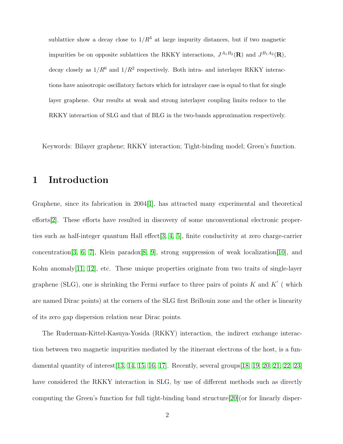sublattice show a decay close to  $1/R<sup>4</sup>$  at large impurity distances, but if two magnetic impurities be on opposite sublattices the RKKY interactions,  $J^{A_1B_2}(\mathbf{R})$  and  $J^{B_1A_2}(\mathbf{R})$ , decay closely as  $1/R^6$  and  $1/R^2$  respectively. Both intra- and interlayer RKKY interactions have anisotropic oscillatory factors which for intralayer case is equal to that for single layer graphene. Our results at weak and strong interlayer coupling limits reduce to the RKKY interaction of SLG and that of BLG in the two-bands approximation respectively.

Keywords: Bilayer graphene; RKKY interaction; Tight-binding model; Green's function.

## 1 Introduction

Graphene, since its fabrication in 2004[\[1\]](#page-19-0), has attracted many experimental and theoretical efforts[\[2\]](#page-19-1). These efforts have resulted in discovery of some unconventional electronic properties such as half-integer quantum Hall effect[\[3,](#page-19-2) [4,](#page-19-3) [5\]](#page-19-4), finite conductivity at zero charge-carrier concentration[\[3,](#page-19-2) [6,](#page-19-5) [7\]](#page-19-6), Klein paradox[\[8,](#page-19-7) [9\]](#page-19-8), strong suppression of weak localization[\[10\]](#page-20-0), and Kohn anomaly[\[11,](#page-20-1) [12\]](#page-20-2), etc. These unique properties originate from two traits of single-layer graphene (SLG), one is shrinking the Fermi surface to three pairs of points K and K' (which are named Dirac points) at the corners of the SLG first Brillouin zone and the other is linearity of its zero gap dispersion relation near Dirac points.

The Ruderman-Kittel-Kasuya-Yosida (RKKY) interaction, the indirect exchange interaction between two magnetic impurities mediated by the itinerant electrons of the host, is a fundamental quantity of interest  $[13, 14, 15, 16, 17]$  $[13, 14, 15, 16, 17]$  $[13, 14, 15, 16, 17]$  $[13, 14, 15, 16, 17]$  $[13, 14, 15, 16, 17]$ . Recently, several groups  $[18, 19, 20, 21, 22, 23]$  $[18, 19, 20, 21, 22, 23]$  $[18, 19, 20, 21, 22, 23]$  $[18, 19, 20, 21, 22, 23]$  $[18, 19, 20, 21, 22, 23]$  $[18, 19, 20, 21, 22, 23]$ have considered the RKKY interaction in SLG, by use of different methods such as directly computing the Green's function for full tight-binding band structure[\[20\]](#page-21-0)(or for linearly disper-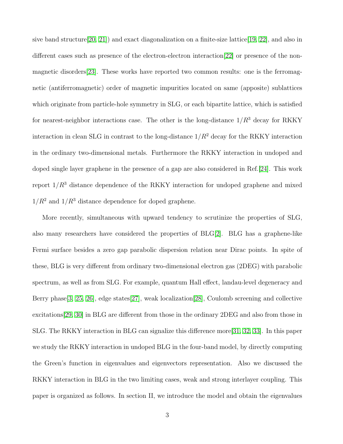sive band structure[\[20,](#page-21-0) [21\]](#page-21-1)) and exact diagonalization on a finite-size lattice[\[19,](#page-20-9) [22\]](#page-21-2), and also in different cases such as presence of the electron-electron interaction[\[22\]](#page-21-2) or presence of the nonmagnetic disorders[\[23\]](#page-21-3). These works have reported two common results: one is the ferromagnetic (antiferromagnetic) order of magnetic impurities located on same (apposite) sublattices which originate from particle-hole symmetry in SLG, or each bipartite lattice, which is satisfied for nearest-neighbor interactions case. The other is the long-distance  $1/R<sup>3</sup>$  decay for RKKY interaction in clean SLG in contrast to the long-distance  $1/R^2$  decay for the RKKY interaction in the ordinary two-dimensional metals. Furthermore the RKKY interaction in undoped and doped single layer graphene in the presence of a gap are also considered in Ref.[\[24\]](#page-21-4). This work report  $1/R<sup>3</sup>$  distance dependence of the RKKY interaction for undoped graphene and mixed  $1/R^2$  and  $1/R^3$  distance dependence for doped graphene.

More recently, simultaneous with upward tendency to scrutinize the properties of SLG, also many researchers have considered the properties of  $BLG[2]$  $BLG[2]$ . BLG has a graphene-like Fermi surface besides a zero gap parabolic dispersion relation near Dirac points. In spite of these, BLG is very different from ordinary two-dimensional electron gas (2DEG) with parabolic spectrum, as well as from SLG. For example, quantum Hall effect, landau-level degeneracy and Berry phase[\[3,](#page-19-2) [25,](#page-21-5) [26\]](#page-21-6), edge states[\[27\]](#page-21-7), weak localization[\[28\]](#page-21-8), Coulomb screening and collective excitations[\[29,](#page-22-0) [30\]](#page-22-1) in BLG are different from those in the ordinary 2DEG and also from those in SLG. The RKKY interaction in BLG can signalize this difference more[\[31,](#page-22-2) [32,](#page-22-3) [33\]](#page-22-4). In this paper we study the RKKY interaction in undoped BLG in the four-band model, by directly computing the Green's function in eigenvalues and eigenvectors representation. Also we discussed the RKKY interaction in BLG in the two limiting cases, weak and strong interlayer coupling. This paper is organized as follows. In section II, we introduce the model and obtain the eigenvalues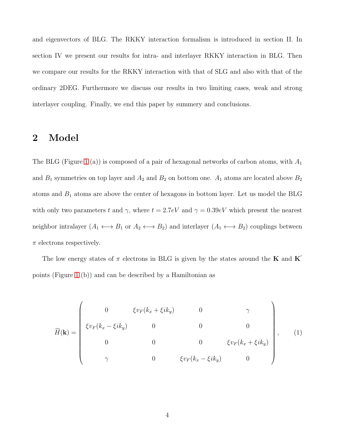and eigenvectors of BLG. The RKKY interaction formalism is introduced in section II. In section IV we present our results for intra- and interlayer RKKY interaction in BLG. Then we compare our results for the RKKY interaction with that of SLG and also with that of the ordinary 2DEG. Furthermore we discuss our results in two limiting cases, weak and strong interlayer coupling. Finally, we end this paper by summery and conclusions.

## 2 Model

The BLG (Figure [1](#page-24-0) (a)) is composed of a pair of hexagonal networks of carbon atoms, with  $A_1$ and  $B_1$  symmetries on top layer and  $A_2$  and  $B_2$  on bottom one.  $A_1$  atoms are located above  $B_2$ atoms and  $B_1$  atoms are above the center of hexagons in bottom layer. Let us model the BLG with only two parameters t and  $\gamma$ , where  $t = 2.7eV$  and  $\gamma = 0.39eV$  which present the nearest neighbor intralayer  $(A_1 \leftrightarrow B_1 \text{ or } A_2 \leftrightarrow B_2)$  and interlayer  $(A_1 \leftrightarrow B_2)$  couplings between  $\pi$  electrons respectively.

The low energy states of  $\pi$  electrons in BLG is given by the states around the **K** and **K**<sup>'</sup> points (Figure [1](#page-24-0) (b)) and can be described by a Hamiltonian as

$$
\widehat{H}(\mathbf{k}) = \begin{pmatrix}\n0 & \xi v_F(k_x + \xi i k_y) & 0 & \gamma \\
\xi v_F(k_x - \xi i k_y) & 0 & 0 & 0 \\
0 & 0 & 0 & \xi v_F(k_x + \xi i k_y) \\
\gamma & 0 & \xi v_F(k_x - \xi i k_y) & 0\n\end{pmatrix},
$$
\n(1)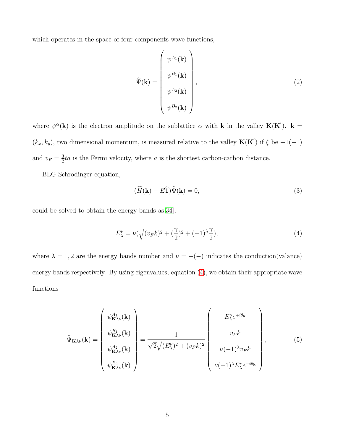which operates in the space of four components wave functions,

$$
\widehat{\Psi}(\mathbf{k}) = \begin{pmatrix} \psi^{A_1}(\mathbf{k}) \\ \psi^{B_1}(\mathbf{k}) \\ \psi^{A_2}(\mathbf{k}) \\ \psi^{B_2}(\mathbf{k}) \end{pmatrix},
$$
\n(2)

where  $\psi^{\alpha}(\mathbf{k})$  is the electron amplitude on the sublattice  $\alpha$  with **k** in the valley **K**(**K**<sup>'</sup>). **k** =  $(k_x, k_y)$ , two dimensional momentum, is measured relative to the valley  $\mathbf{K}(\mathbf{K}')$  if  $\xi$  be  $+1(-1)$ and  $v_F = \frac{3}{2}$  $\frac{3}{2}ta$  is the Fermi velocity, where a is the shortest carbon-carbon distance.

BLG Schrodinger equation,

$$
(\widehat{H}(\mathbf{k}) - E\widehat{\mathbf{1}})\widehat{\Psi}(\mathbf{k}) = 0,\tag{3}
$$

could be solved to obtain the energy bands as[\[34\]](#page-22-5),

<span id="page-4-0"></span>
$$
E_{\lambda}^{\nu} = \nu \left( \sqrt{(v_F k)^2 + \left(\frac{\gamma}{2}\right)^2} + (-1)^{\lambda} \frac{\gamma}{2} \right),\tag{4}
$$

where  $\lambda = 1, 2$  are the energy bands number and  $\nu = +(-)$  indicates the conduction(valance) energy bands respectively. By using eigenvalues, equation [\(4\)](#page-4-0), we obtain their appropriate wave functions

<span id="page-4-1"></span>
$$
\widehat{\Psi}_{\mathbf{K}\lambda\nu}(\mathbf{k}) = \begin{pmatrix} \psi_{\mathbf{K}\lambda\nu}^{A_1}(\mathbf{k}) \\ \psi_{\mathbf{K}\lambda\nu}^{B_1}(\mathbf{k}) \\ \psi_{\mathbf{K}\lambda\nu}^{A_2}(\mathbf{k}) \\ \psi_{\mathbf{K}\lambda\nu}^{B_2}(\mathbf{k}) \end{pmatrix} = \frac{1}{\sqrt{2}\sqrt{(E_{\lambda}^{\nu})^2 + (v_F k)^2}} \begin{pmatrix} E_{\lambda}^{\nu} e^{+i\theta_{\mathbf{k}}} \\ v_F k \\ \nu(-1)^{\lambda} v_F k \\ \nu(-1)^{\lambda} E_{\lambda}^{\nu} e^{-i\theta_{\mathbf{k}}} \end{pmatrix},
$$
\n(5)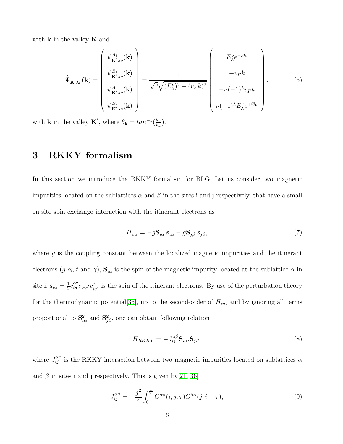with  $k$  in the valley  $K$  and

<span id="page-5-1"></span>
$$
\hat{\Psi}_{\mathbf{K}'\lambda\nu}(\mathbf{k}) = \begin{pmatrix} \psi_{\mathbf{K}'\lambda\nu}^{A_1}(\mathbf{k}) \\ \psi_{\mathbf{K}'\lambda\nu}^{B_1}(\mathbf{k}) \\ \psi_{\mathbf{K}'\lambda\nu}^{A_2}(\mathbf{k}) \\ \psi_{\mathbf{K}'\lambda\nu}^{B_2}(\mathbf{k}) \end{pmatrix} = \frac{1}{\sqrt{2}\sqrt{(E_{\lambda}^{\nu})^2 + (v_F k)^2}} \begin{pmatrix} E_{\lambda}^{\nu}e^{-i\theta_{\mathbf{k}}} \\ -v_F k \\ -\nu(-1)^{\lambda}v_F k \\ \nu(-1)^{\lambda}E_{\lambda}^{\nu}e^{+i\theta_{\mathbf{k}}} \end{pmatrix},
$$
\n(6)

with **k** in the valley **K**<sup>'</sup>, where  $\theta_{\mathbf{k}} = \tan^{-1}(\frac{k_y}{k_x})$  $\frac{\kappa_y}{k_x}$ .

## 3 RKKY formalism

In this section we introduce the RKKY formalism for BLG. Let us consider two magnetic impurities located on the sublattices  $\alpha$  and  $\beta$  in the sites i and j respectively, that have a small on site spin exchange interaction with the itinerant electrons as

$$
H_{int} = -g\mathbf{S}_{i\alpha} \cdot \mathbf{s}_{i\alpha} - g\mathbf{S}_{j\beta} \cdot \mathbf{s}_{j\beta},\tag{7}
$$

where  $g$  is the coupling constant between the localized magnetic impurities and the itinerant electrons ( $g \ll t$  and  $\gamma$ ),  $S_{i\alpha}$  is the spin of the magnetic impurity located at the sublattice  $\alpha$  in site i,  $\mathbf{s}_{i\alpha} = \frac{1}{2}$  $\frac{1}{2}c_{i\sigma}^{\alpha\dagger}\sigma_{\sigma\sigma'}c_{i\sigma'}^{\alpha}$  is the spin of the itinerant electrons. By use of the perturbation theory for the thermodynamic potential [\[35\]](#page-22-6), up to the second-order of  $H_{int}$  and by ignoring all terms proportional to  $S^2_{i\alpha}$  and  $S^2_{j\beta}$ , one can obtain following relation

<span id="page-5-0"></span>
$$
H_{RKKY} = -J_{ij}^{\alpha\beta} \mathbf{S}_{i\alpha} \cdot \mathbf{S}_{j\beta},\tag{8}
$$

where  $J_{ij}^{\alpha\beta}$  is the RKKY interaction between two magnetic impurities located on sublattices  $\alpha$ and  $\beta$  in sites i and j respectively. This is given by [\[21,](#page-21-1) [36\]](#page-22-7)

<span id="page-5-2"></span>
$$
J_{ij}^{\alpha\beta} = -\frac{g^2}{4} \int_0^{\frac{1}{T}} G^{\alpha\beta}(i,j,\tau) G^{\beta\alpha}(j,i,-\tau), \tag{9}
$$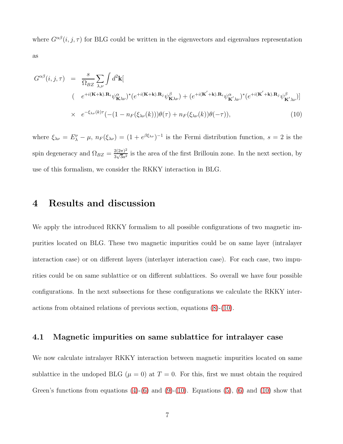where  $G^{\alpha\beta}(i, j, \tau)$  for BLG could be written in the eigenvectors and eigenvalues representation as

<span id="page-6-0"></span>
$$
G^{\alpha\beta}(i,j,\tau) = \frac{s}{\Omega_{BZ}} \sum_{\lambda,\nu} \int d^2 \mathbf{k} [
$$
  
\n
$$
(e^{+i(\mathbf{K}+\mathbf{k})\cdot\mathbf{R}_i} \psi^{\alpha}_{\mathbf{K}\lambda\nu})^* (e^{+i(\mathbf{K}+\mathbf{k})\cdot\mathbf{R}_j} \psi^{\beta}_{\mathbf{K}\lambda\nu}) + (e^{+i(\mathbf{K}'+\mathbf{k})\cdot\mathbf{R}_i} \psi^{\alpha}_{\mathbf{K}'\lambda\nu})^* (e^{+i(\mathbf{K}'+\mathbf{k})\cdot\mathbf{R}_j} \psi^{\beta}_{\mathbf{K}'\lambda\nu})]
$$
  
\n
$$
\times e^{-\xi_{\lambda\nu}(k)\tau} (-(1 - n_F(\xi_{\lambda\nu}(k)))\theta(\tau) + n_F(\xi_{\lambda\nu}(k))\theta(-\tau)), \tag{10}
$$

where  $\xi_{\lambda\nu} = E^{\nu}_{\lambda} - \mu$ ,  $n_F(\xi_{\lambda\nu}) = (1 + e^{\beta \xi_{\lambda\nu}})^{-1}$  is the Fermi distribution function,  $s = 2$  is the spin degeneracy and  $\Omega_{BZ} = \frac{2(2\pi)^2}{3\sqrt{3}a^2}$  $\frac{2(2\pi)^2}{3\sqrt{3}a^2}$  is the area of the first Brillouin zone. In the next section, by use of this formalism, we consider the RKKY interaction in BLG.

### 4 Results and discussion

We apply the introduced RKKY formalism to all possible configurations of two magnetic impurities located on BLG. These two magnetic impurities could be on same layer (intralayer interaction case) or on different layers (interlayer interaction case). For each case, two impurities could be on same sublattice or on different sublattices. So overall we have four possible configurations. In the next subsections for these configurations we calculate the RKKY interactions from obtained relations of previous section, equations [\(8\)](#page-5-0)-[\(10\)](#page-6-0).

#### <span id="page-6-1"></span>4.1 Magnetic impurities on same sublattice for intralayer case

We now calculate intralayer RKKY interaction between magnetic impurities located on same sublattice in the undoped BLG ( $\mu = 0$ ) at  $T = 0$ . For this, first we must obtain the required Green's functions from equations  $(4)-(6)$  $(4)-(6)$  and  $(9)-(10)$  $(9)-(10)$ . Equations  $(5)$ ,  $(6)$  and  $(10)$  show that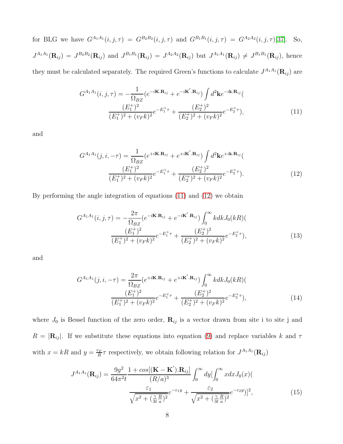for BLG we have  $G^{A_1A_1}(i, j, \tau) = G^{B_2B_2}(i, j, \tau)$  and  $G^{B_1B_1}(i, j, \tau) = G^{A_2A_2}(i, j, \tau)$ [\[37\]](#page-22-8). So,  $J^{A_1A_1}(\mathbf{R}_{ij}) = J^{B_2B_2}(\mathbf{R}_{ij})$  and  $J^{B_1B_1}(\mathbf{R}_{ij}) = J^{A_2A_2}(\mathbf{R}_{ij})$  but  $J^{A_1A_1}(\mathbf{R}_{ij}) \neq J^{B_1B_1}(\mathbf{R}_{ij})$ , hence

they must be calculated separately. The required Green's functions to calculate  $J^{A_1A_1}(\mathbf{R}_{ij})$  are

<span id="page-7-0"></span>
$$
G^{A_1 A_1}(i, j, \tau) = -\frac{1}{\Omega_{BZ}} \left( e^{-i\mathbf{K} \cdot \mathbf{R}_{ij}} + e^{-i\mathbf{K}' \cdot \mathbf{R}_{ij}} \right) \int d^2 \mathbf{k} e^{-i\mathbf{k} \cdot \mathbf{R}_{ij}} \left( \frac{(E_1^+)^2}{(E_1^+)^2 + (v_F k)^2} e^{-E_1^+ \tau} + \frac{(E_2^+)^2}{(E_2^+)^2 + (v_F k)^2} e^{-E_2^+ \tau} \right), \tag{11}
$$

and

<span id="page-7-1"></span>
$$
G^{A_1 A_1}(j, i, -\tau) = \frac{1}{\Omega_{BZ}} \left(e^{+i\mathbf{K}.\mathbf{R}_{ij}} + e^{+i\mathbf{K}'.\mathbf{R}_{ij}}\right) \int d^2 \mathbf{k} e^{+i\mathbf{k}.\mathbf{R}_{ij}} \left(\frac{(E_1^+)^2}{(E_1^+)^2 + (v_F k)^2} e^{-E_1^+ \tau} + \frac{(E_2^+)^2}{(E_2^+)^2 + (v_F k)^2} e^{-E_2^+ \tau}\right).
$$
\n(12)

By performing the angle integration of equations [\(11\)](#page-7-0) and [\(12\)](#page-7-1) we obtain

$$
G^{A_1 A_1}(i, j, \tau) = -\frac{2\pi}{\Omega_{BZ}} (e^{-i\mathbf{K} \cdot \mathbf{R}_{ij}} + e^{-i\mathbf{K}' \cdot \mathbf{R}_{ij}}) \int_0^\infty k dk J_0(kR)(
$$
  

$$
\frac{(E_1^+)^2}{(E_1^+)^2 + (v_F k)^2} e^{-E_1^+ \tau} + \frac{(E_2^+)^2}{(E_2^+)^2 + (v_F k)^2} e^{-E_2^+ \tau}),
$$
(13)

and

$$
G^{A_1 A_1}(j, i, -\tau) = \frac{2\pi}{\Omega_{BZ}} \left(e^{+i\mathbf{K}.\mathbf{R}_{ij}} + e^{+i\mathbf{K}'.\mathbf{R}_{ij}}\right) \int_0^\infty k dk J_0(kR) \left(\frac{(E_1^+)^2}{(E_1^+)^2 + (v_F k)^2} e^{-E_1^+ \tau} + \frac{(E_2^+)^2}{(E_2^+)^2 + (v_F k)^2} e^{-E_2^+ \tau}\right),\tag{14}
$$

where  $J_0$  is Bessel function of the zero order,  $\mathbf{R}_{ij}$  is a vector drawn from site i to site j and  $R = |\mathbf{R}_{ij}|$ . If we substitute these equations into equation [\(9\)](#page-5-2) and replace variables k and  $\tau$ with  $x = kR$  and  $y = \frac{v_F}{R}$  $\frac{p_F}{R}\tau$  respectively, we obtain following relation for  $J^{A_1A_1}(\mathbf{R}_{ij})$ 

<span id="page-7-2"></span>
$$
J^{A_1 A_1}(\mathbf{R}_{ij}) = \frac{9g^2}{64\pi^2 t} \frac{1 + \cos[(\mathbf{K} - \mathbf{K}').\mathbf{R}_{ij}]}{(R/a)^3} \int_0^\infty dy \left[\int_0^\infty x dx J_0(x)\right] \frac{\varepsilon_1}{\sqrt{x^2 + (\frac{\gamma}{3t} \frac{R}{a})^2}} e^{-\varepsilon_1 y} + \frac{\varepsilon_2}{\sqrt{x^2 + (\frac{\gamma}{3t} \frac{R}{a})^2}} e^{-\varepsilon_2 y}\right]^2, \tag{15}
$$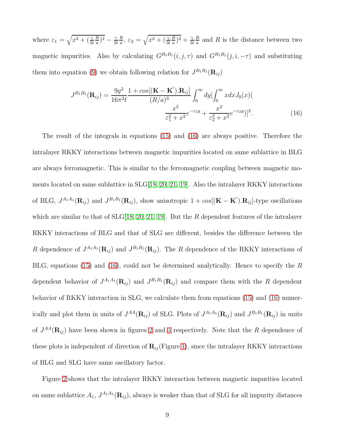where  $\varepsilon_1 = \sqrt{x^2 + (\frac{\gamma}{3t})^2}$ R  $\frac{R}{a}$ )<sup>2</sup> –  $\frac{\gamma}{3a}$ 3t R  $\frac{R}{a}$ ,  $\varepsilon_2 = \sqrt{x^2 + (\frac{\gamma}{3t})^2}$ R  $\frac{R}{a}$ )<sup>2</sup> +  $\frac{\gamma}{3a}$  $3<sub>t</sub>$ R  $\frac{R}{a}$  and R is the distance between two magnetic impurities. Also by calculating  $G^{B_1B_1}(i, j, \tau)$  and  $G^{B_1B_1}(j, i, -\tau)$  and substituting them into equation [\(9\)](#page-5-2) we obtain following relation for  $J^{B_1B_1}(\mathbf{R}_{ij})$ 

<span id="page-8-0"></span>
$$
J^{B_1B_1}(\mathbf{R}_{ij}) = \frac{9g^2}{16\pi^2 t} \frac{1 + \cos[(\mathbf{K} - \mathbf{K}').\mathbf{R}_{ij}]}{(R/a)^3} \int_0^\infty dy \left[\int_0^\infty x dx J_0(x)\right] \frac{x^2}{\varepsilon_1^2 + x^2} e^{-\varepsilon_1 y} + \frac{x^2}{\varepsilon_2^2 + x^2} e^{-\varepsilon_2 y}\right]^2.
$$
 (16)

The result of the integrals in equations [\(15\)](#page-7-2) and [\(16\)](#page-8-0) are always positive. Therefore the intralayer RKKY interactions between magnetic impurities located on same sublattice in BLG are always ferromagnetic. This is similar to the ferromagnetic coupling between magnetic moments located on same sublattice in SLG[\[18,](#page-20-8) [20,](#page-21-0) [21,](#page-21-1) [19\]](#page-20-9). Also the intralayer RKKY interactions of BLG,  $J^{A_1A_1}(\mathbf{R}_{ij})$  and  $J^{B_1B_1}(\mathbf{R}_{ij})$ , show anisotropic  $1+cos[(\mathbf{K}-\mathbf{K}^{\'}).\mathbf{R}_{ij}]$ -type oscillations which are similar to that of  $SLG[18, 20, 21, 19]$  $SLG[18, 20, 21, 19]$  $SLG[18, 20, 21, 19]$  $SLG[18, 20, 21, 19]$  $SLG[18, 20, 21, 19]$ . But the R dependent features of the intralayer RKKY interactions of BLG and that of SLG are different, besides the difference between the R dependence of  $J^{A_1A_1}(\mathbf{R}_{ij})$  and  $J^{B_1B_1}(\mathbf{R}_{ij})$ . The R dependence of the RKKY interactions of BLG, equations [\(15\)](#page-7-2) and [\(16\)](#page-8-0), could not be determined analytically. Hence to specify the  $R$ dependent behavior of  $J^{A_1A_1}(\mathbf{R}_{ij})$  and  $J^{B_1B_1}(\mathbf{R}_{ij})$  and compare them with the R dependent behavior of RKKY interaction in SLG, we calculate them from equations [\(15\)](#page-7-2) and [\(16\)](#page-8-0) numerically and plot them in units of  $J^{AA}(\mathbf{R}_{ij})$  of SLG. Plots of  $J^{A_1A_1}(\mathbf{R}_{ij})$  and  $J^{B_1B_1}(\mathbf{R}_{ij})$  in units of  $J^{AA}(\mathbf{R}_{ij})$  have been shown in figures [2](#page-24-1) and [3](#page-25-0) respectively. Note that the R dependence of these plots is independent of direction of  $\mathbf{R}_{ij}$  (Figure [1\)](#page-24-0), since the intralayer RKKY interactions of BLG and SLG have same oscillatory factor.

Figure [2](#page-24-1) shows that the intralayer RKKY interaction between magnetic impurities located on same sublattice  $A_1$ ,  $J^{A_1A_1}(\mathbf{R}_{ij})$ , always is weaker than that of SLG for all impurity distances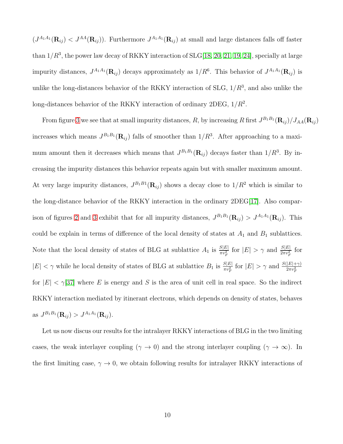$(J^{A_1A_1}(\mathbf{R}_{ij}) < J^{AA}(\mathbf{R}_{ij}))$ . Furthermore  $J^{A_1A_1}(\mathbf{R}_{ij})$  at small and large distances falls off faster than  $1/R^3$ , the power law decay of RKKY interaction of SLG[\[18,](#page-20-8) [20,](#page-21-0) [21,](#page-21-1) [19,](#page-20-9) [24\]](#page-21-4), specially at large impurity distances,  $J^{A_1A_1}(\mathbf{R}_{ij})$  decays approximately as  $1/R^6$ . This behavior of  $J^{A_1A_1}(\mathbf{R}_{ij})$  is unlike the long-distances behavior of the RKKY interaction of SLG,  $1/R^3$ , and also unlike the long-distances behavior of the RKKY interaction of ordinary 2DEG,  $1/R^2$ .

From figure [3](#page-25-0) we see that at small impurity distances, R, by increasing R first  $J^{B_1B_1}(\mathbf{R}_{ij})/J_{AA}(\mathbf{R}_{ij})$ increases which means  $J^{B_1B_1}(\mathbf{R}_{ij})$  falls of smoother than  $1/R^3$ . After approaching to a maximum amount then it decreases which means that  $J^{B_1B_1}(\mathbf{R}_{ij})$  decays faster than  $1/R^3$ . By increasing the impurity distances this behavior repeats again but with smaller maximum amount. At very large impurity distances,  $J^{B_1B_1}(\mathbf{R}_{ij})$  shows a decay close to  $1/R^2$  which is similar to the long-distance behavior of the RKKY interaction in the ordinary 2DEG[\[17\]](#page-20-7). Also compar-ison of figures [2](#page-24-1) and [3](#page-25-0) exhibit that for all impurity distances,  $J^{B_1B_1}(\mathbf{R}_{ij}) > J^{A_1A_1}(\mathbf{R}_{ij})$ . This could be explain in terms of difference of the local density of states at  $A_1$  and  $B_1$  sublattices. Note that the local density of states of BLG at sublattice  $A_1$  is  $\frac{S|E|}{\pi v_F^2}$  for  $|E| > \gamma$  and  $\frac{S|E|}{2\pi v_F^2}$  for  $|E| < \gamma$  while he local density of states of BLG at sublattice  $B_1$  is  $\frac{S|E|}{\pi v_F^2}$  for  $|E| > \gamma$  and  $\frac{S(|E| + \gamma)}{2\pi v_F^2}$ for  $|E| < \gamma$ [\[37\]](#page-22-8) where E is energy and S is the area of unit cell in real space. So the indirect RKKY interaction mediated by itinerant electrons, which depends on density of states, behaves as  $J^{B_1B_1}(\mathbf{R}_{ij}) > J^{A_1A_1}(\mathbf{R}_{ij}).$ 

Let us now discus our results for the intralayer RKKY interactions of BLG in the two limiting cases, the weak interlayer coupling ( $\gamma \to 0$ ) and the strong interlayer coupling ( $\gamma \to \infty$ ). In the first limiting case,  $\gamma \to 0$ , we obtain following results for intralayer RKKY interactions of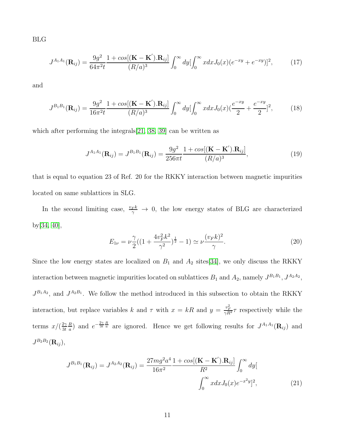BLG

<span id="page-10-1"></span>
$$
J^{A_1 A_1}(\mathbf{R}_{ij}) = \frac{9g^2}{64\pi^2 t} \frac{1 + \cos[(\mathbf{K} - \mathbf{K}').\mathbf{R}_{ij}]}{(R/a)^3} \int_0^\infty dy \left[\int_0^\infty x dx J_0(x) (e^{-xy} + e^{-xy})\right]^2, \tag{17}
$$

and

<span id="page-10-2"></span>
$$
J^{B_1B_1}(\mathbf{R}_{ij}) = \frac{9g^2}{16\pi^2 t} \frac{1 + \cos[(\mathbf{K} - \mathbf{K}').\mathbf{R}_{ij}]}{(R/a)^3} \int_0^\infty dy \left[\int_0^\infty x dx J_0(x) \left(\frac{e^{-xy}}{2} + \frac{e^{-xy}}{2}\right)^2\right],\tag{18}
$$

which after performing the integrals[\[21,](#page-21-1) [38,](#page-23-0) [39\]](#page-23-1) can be written as

$$
J^{A_1 A_1}(\mathbf{R}_{ij}) = J^{B_1 B_1}(\mathbf{R}_{ij}) = \frac{9g^2}{256\pi t} \frac{1 + \cos[(\mathbf{K} - \mathbf{K}^{\'}).\mathbf{R}_{ij}]}{(R/a)^3},\tag{19}
$$

that is equal to equation 23 of Ref. 20 for the RKKY interaction between magnetic impurities located on same sublattices in SLG.

In the second limiting case,  $\frac{v_F k}{\gamma} \to 0$ , the low energy states of BLG are characterized by[\[34,](#page-22-5) [40\]](#page-23-2),

$$
E_{1\nu} = \nu \frac{\gamma}{2} \left( \left( 1 + \frac{4v_F^2 k^2}{\gamma^2} \right)^{\frac{1}{2}} - 1 \right) \simeq \nu \frac{(v_F k)^2}{\gamma}.
$$
 (20)

Since the low energy states are localized on  $B_1$  and  $A_2$  sites[\[34\]](#page-22-5), we only discuss the RKKY interaction between magnetic impurities located on sublattices  $B_1$  and  $A_2$ , namely  $J^{B_1B_1}$ ,  $J^{A_2A_2}$ ,  $J^{B_1A_2}$ , and  $J^{A_2B_1}$ . We follow the method introduced in this subsection to obtain the RKKY interaction, but replace variables k and  $\tau$  with  $x = kR$  and  $y = \frac{v_F^2}{\gamma R^2} \tau$  respectively while the terms  $x/(\frac{2\gamma}{3t})$  $3<sub>t</sub>$ R  $\frac{R}{a}$ ) and  $e^{-\frac{2\gamma}{3t}\frac{R}{a}}$  are ignored. Hence we get following results for  $J^{A_1A_1}(\mathbf{R}_{ij})$  and  $J^{B_2 B_2} ({\bf R}_{ij}),$ 

<span id="page-10-0"></span>
$$
J^{B_1B_1}(\mathbf{R}_{ij}) = J^{A_2A_2}(\mathbf{R}_{ij}) = \frac{27mg^2a^4}{16\pi^2} \frac{1 + \cos[(\mathbf{K} - \mathbf{K}').\mathbf{R}_{ij}]}{R^2} \int_0^\infty dy \left[\frac{\int_0^\infty x dx J_0(x) e^{-x^2 y} \, dx}{\int_0^\infty x dx J_0(x) e^{-x^2 y} \, dx} \right],\tag{21}
$$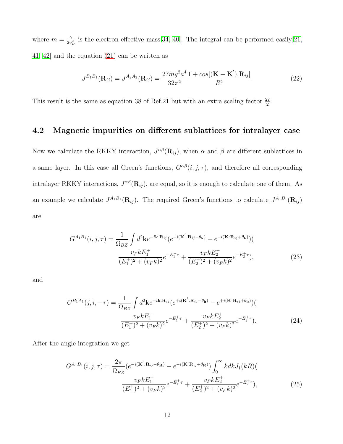where  $m = \frac{\gamma}{2n}$  $\frac{\gamma}{2v_F^2}$  is the electron effective mass [\[34,](#page-22-5) [40\]](#page-23-2). The integral can be performed easily [\[21,](#page-21-1) [41,](#page-23-3) [42\]](#page-23-4) and the equation [\(21\)](#page-10-0) can be written as

$$
J^{B_1B_1}(\mathbf{R}_{ij}) = J^{A_2A_2}(\mathbf{R}_{ij}) = \frac{27mg^2a^4}{32\pi^2} \frac{1 + \cos[(\mathbf{K} - \mathbf{K}^{\'}).\mathbf{R}_{ij}]}{R^2}.
$$
 (22)

This result is the same as equation 38 of Ref.21 but with an extra scaling factor  $\frac{27}{2}$ .

#### 4.2 Magnetic impurities on different sublattices for intralayer case

Now we calculate the RKKY interaction,  $J^{\alpha\beta}(\mathbf{R}_{ij})$ , when  $\alpha$  and  $\beta$  are different sublattices in a same layer. In this case all Green's functions,  $G^{\alpha\beta}(i, j, \tau)$ , and therefore all corresponding intralayer RKKY interactions,  $J^{\alpha\beta}(\mathbf{R}_{ij})$ , are equal, so it is enough to calculate one of them. As an example we calculate  $J^{A_1B_1}(\mathbf{R}_{ij})$ . The required Green's functions to calculate  $J^{A_1B_1}(\mathbf{R}_{ij})$ are

$$
G^{A_1B_1}(i, j, \tau) = \frac{1}{\Omega_{BZ}} \int d^2 \mathbf{k} e^{-i\mathbf{k} \cdot \mathbf{R}_{ij}} (e^{-i(\mathbf{K}' \cdot \mathbf{R}_{ij} - \theta_{\mathbf{k}})} - e^{-i(\mathbf{K} \cdot \mathbf{R}_{ij} + \theta_{\mathbf{k}})})
$$

$$
\frac{v_F k E_1^+}{(E_1^+)^2 + (v_F k)^2} e^{-E_1^+ \tau} + \frac{v_F k E_2^+}{(E_2^+)^2 + (v_F k)^2} e^{-E_2^+ \tau}),
$$
(23)

and

$$
G^{B_1A_1}(j, i, -\tau) = \frac{1}{\Omega_{BZ}} \int d^2 \mathbf{k} e^{+i\mathbf{k} \cdot \mathbf{R}_{ij}} (e^{+i(\mathbf{K}' \cdot \mathbf{R}_{ij} - \theta_{\mathbf{k}})} - e^{+i(\mathbf{K}' \cdot \mathbf{R}_{ij} + \theta_{\mathbf{k}})})
$$
  

$$
\frac{v_F k E_1^+}{(E_1^+)^2 + (v_F k)^2} e^{-E_1^+ \tau} + \frac{v_F k E_2^+}{(E_2^+)^2 + (v_F k)^2} e^{-E_2^+ \tau}).
$$
 (24)

After the angle integration we get

$$
G^{A_1B_1}(i, j, \tau) = \frac{2\pi}{\Omega_{BZ}} \left( e^{-i(\mathbf{K}' \cdot \mathbf{R}_{ij} - \theta_{\mathbf{R}})} - e^{-i(\mathbf{K}' \cdot \mathbf{R}_{ij} + \theta_{\mathbf{R}})} \right) \int_0^\infty k dk J_1(kR) \left( \frac{v_F k E_1^+}{(E_1^+)^2 + (v_F k)^2} e^{-E_1^+ \tau} + \frac{v_F k E_2^+}{(E_2^+)^2 + (v_F k)^2} e^{-E_2^+ \tau} \right), \tag{25}
$$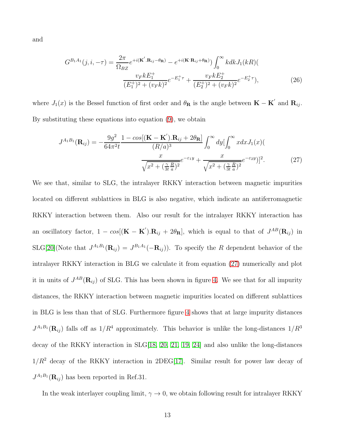and

$$
G^{B_1A_1}(j, i, -\tau) = \frac{2\pi}{\Omega_{BZ}} e^{+i(\mathbf{K}' \cdot \mathbf{R}_{ij} - \theta_{\mathbf{R}})} - e^{+i(\mathbf{K}' \cdot \mathbf{R}_{ij} + \theta_{\mathbf{R}})}) \int_0^\infty kdk J_1(kR)(
$$
  

$$
\frac{v_F k E_1^+}{(E_1^+)^2 + (v_F k)^2} e^{-E_1^+ \tau} + \frac{v_F k E_2^+}{(E_2^+)^2 + (v_F k)^2} e^{-E_2^+ \tau}),
$$
(26)

where  $J_1(x)$  is the Bessel function of first order and  $\theta_{\mathbf{R}}$  is the angle between  $\mathbf{K} - \mathbf{K}'$  and  $\mathbf{R}_{ij}$ . By substituting these equations into equation  $(9)$ , we obtain

<span id="page-12-0"></span>
$$
J^{A_1B_1}(\mathbf{R}_{ij}) = -\frac{9g^2}{64\pi^2 t} \frac{1 - \cos[(\mathbf{K} - \mathbf{K}^{\prime}) \cdot \mathbf{R}_{ij} + 2\theta_{\mathbf{R}}]}{(R/a)^3} \int_0^{\infty} dy \left[\int_0^{\infty} x dx J_1(x)\right]
$$

$$
\frac{x}{\sqrt{x^2 + (\frac{\gamma}{3t} \frac{R}{a})^2}} e^{-\varepsilon_1 y} + \frac{x}{\sqrt{x^2 + (\frac{\gamma}{3t} \frac{R}{a})^2}} e^{-\varepsilon_2 y}\right]^2.
$$
(27)

We see that, similar to SLG, the intralayer RKKY interaction between magnetic impurities located on different sublattices in BLG is also negative, which indicate an antiferromagnetic RKKY interaction between them. Also our result for the intralayer RKKY interaction has an oscillatory factor,  $1 - cos[(\mathbf{K} - \mathbf{K}') \cdot \mathbf{R}_{ij} + 2\theta_{\mathbf{R}}]$ , which is equal to that of  $J^{AB}(\mathbf{R}_{ij})$  in  $SLG[20]$  $SLG[20]$ (Note that  $J^{A_1B_1}(\mathbf{R}_{ij}) = J^{B_1A_1}(-\mathbf{R}_{ij})$ ). To specify the R dependent behavior of the intralayer RKKY interaction in BLG we calculate it from equation [\(27\)](#page-12-0) numerically and plot it in units of  $J^{AB}(\mathbf{R}_{ij})$  of SLG. This has been shown in figure [4.](#page-25-1) We see that for all impurity distances, the RKKY interaction between magnetic impurities located on different sublattices in BLG is less than that of SLG. Furthermore figure [4](#page-25-1) shows that at large impurity distances  $J^{A_1B_1}(\mathbf{R}_{ij})$  falls off as  $1/R^4$  approximately. This behavior is unlike the long-distances  $1/R^3$ decay of the RKKY interaction in SLG[\[18,](#page-20-8) [20,](#page-21-0) [21,](#page-21-1) [19,](#page-20-9) [24\]](#page-21-4) and also unlike the long-distances  $1/R^2$  decay of the RKKY interaction in 2DEG[\[17\]](#page-20-7). Similar result for power law decay of  $J^{A_1B_1}(\mathbf{R}_{ij})$  has been reported in Ref.31.

In the weak interlayer coupling limit,  $\gamma \to 0$ , we obtain following result for intralayer RKKY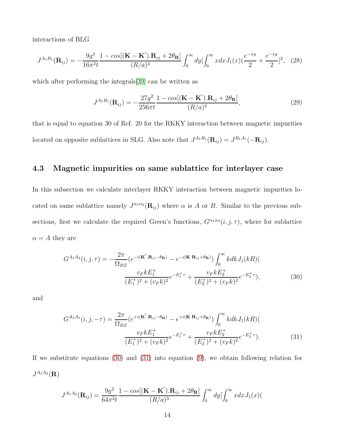interactions of BLG

$$
J^{A_1B_1}(\mathbf{R}_{ij}) = -\frac{9g^2}{16\pi^2 t} \frac{1 - \cos[(\mathbf{K} - \mathbf{K}').\mathbf{R}_{ij} + 2\theta_{\mathbf{R}}]}{(R/a)^3} \int_0^\infty dy \left[\int_0^\infty x dx J_1(x) \left(\frac{e^{-xy}}{2} + \frac{e^{-xy}}{2}\right)^2\right], \tag{28}
$$

which after performing the integrals[\[39\]](#page-23-1) can be written as

$$
J^{A_1B_1}(\mathbf{R}_{ij}) = -\frac{27g^2}{256\pi t} \frac{1 - \cos[(\mathbf{K} - \mathbf{K}^{\'}).\mathbf{R}_{ij} + 2\theta_{\mathbf{R}}]}{(R/a)^3},\tag{29}
$$

that is equal to equation 30 of Ref. 20 for the RKKY interaction between magnetic impurities located on opposite sublattices in SLG. Also note that  $J^{A_1B_1}(\mathbf{R}_{ij}) = J^{B_1A_1}(-\mathbf{R}_{ij}).$ 

#### 4.3 Magnetic impurities on same sublattice for interlayer case

In this subsection we calculate interlayer RKKY interaction between magnetic impurities located on same sublattice namely  $J^{\alpha_1 \alpha_2}(\mathbf{R}_{ij})$  where  $\alpha$  is A or B. Similar to the previous subsections, first we calculate the required Green's functions,  $G^{\alpha_1\alpha_2}(i, j, \tau)$ , where for sublattice  $\alpha = A$  they are

<span id="page-13-0"></span>
$$
G^{A_1 A_2}(i, j, \tau) = -\frac{2\pi}{\Omega_{BZ}} \left(e^{-i(\mathbf{K}' \cdot \mathbf{R}_{ij} - \theta_{\mathbf{R}})} - e^{-i(\mathbf{K}' \cdot \mathbf{R}_{ij} + \theta_{\mathbf{R}})}\right) \int_0^\infty k dk J_1(kR) \left(\frac{v_F k E_1^+}{(E_1^+)^2 + (v_F k)^2} e^{-E_1^+ \tau} + \frac{v_F k E_2^+}{(E_2^+)^2 + (v_F k)^2} e^{-E_2^+ \tau}\right),\tag{30}
$$

and

<span id="page-13-1"></span>
$$
G^{A_2A_1}(i, j, -\tau) = \frac{2\pi}{\Omega_{BZ}} (e^{+i(\mathbf{K}' \cdot \mathbf{R}_{ij} - \theta_{\mathbf{R}})} - e^{+i(\mathbf{K}' \cdot \mathbf{R}_{ij} + \theta_{\mathbf{R}})}) \int_0^\infty kdk J_1(kR)(
$$
  

$$
\frac{v_F k E_1^+}{(E_1^+)^2 + (v_F k)^2} e^{-E_1^+ \tau} + \frac{v_F k E_2^+}{(E_2^+)^2 + (v_F k)^2} e^{-E_2^+ \tau}).
$$
 (31)

If we substitute equations [\(30\)](#page-13-0) and [\(31\)](#page-13-1) into equation [\(9\)](#page-5-2), we obtain following relation for  $J^{A_1 A_2} (\mathbf{R})$ 

<span id="page-13-2"></span>
$$
J^{A_1 A_2}(\mathbf{R}_{ij}) = \frac{9g^2}{64\pi^2 t} \frac{1 - \cos[(\mathbf{K} - \mathbf{K}^{\prime}) \cdot \mathbf{R}_{ij} + 2\theta_{\mathbf{R}}]}{(R/a)^3} \int_0^{\infty} dy \left[\int_0^{\infty} x dx J_1(x)\right]
$$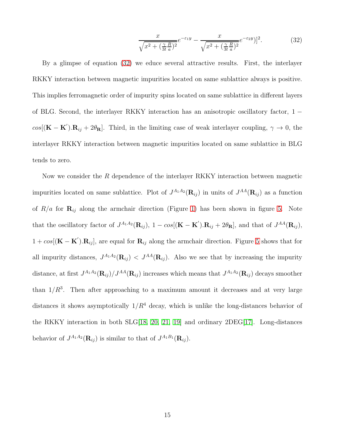$$
\frac{x}{\sqrt{x^2 + \left(\frac{\gamma}{3t}\frac{R}{a}\right)^2}}e^{-\varepsilon_1 y} - \frac{x}{\sqrt{x^2 + \left(\frac{\gamma}{3t}\frac{R}{a}\right)^2}}e^{-\varepsilon_2 y})]^2.
$$
 (32)

By a glimpse of equation [\(32\)](#page-13-2) we educe several attractive results. First, the interlayer RKKY interaction between magnetic impurities located on same sublattice always is positive. This implies ferromagnetic order of impurity spins located on same sublattice in different layers of BLG. Second, the interlayer RKKY interaction has an anisotropic oscillatory factor,  $1$  $cos[(\mathbf{K}-\mathbf{K}')\cdot\mathbf{R}_{ij}+2\theta_{\mathbf{R}}]$ . Third, in the limiting case of weak interlayer coupling,  $\gamma \to 0$ , the interlayer RKKY interaction between magnetic impurities located on same sublattice in BLG tends to zero.

Now we consider the  $R$  dependence of the interlayer RKKY interaction between magnetic impurities located on same sublattice. Plot of  $J^{A_1A_2}(\mathbf{R}_{ij})$  in units of  $J^{AA}(\mathbf{R}_{ij})$  as a function of  $R/a$  for  $\mathbf{R}_{ij}$  along the armchair direction (Figure [1\)](#page-24-0) has been shown in figure [5.](#page-26-0) Note that the oscillatory factor of  $J^{A_1A_2}(\mathbf{R}_{ij})$ ,  $1 - \cos[(\mathbf{K} - \mathbf{K}') \cdot \mathbf{R}_{ij} + 2\theta_{\mathbf{R}}]$ , and that of  $J^{AA}(\mathbf{R}_{ij})$ ,  $1 + cos[(\mathbf{K} - \mathbf{K}')\cdot \mathbf{R}_{ij}]$ , are equal for  $\mathbf{R}_{ij}$  along the armchair direction. Figure [5](#page-26-0) shows that for all impurity distances,  $J^{A_1A_2}(\mathbf{R}_{ij}) < J^{AA}(\mathbf{R}_{ij})$ . Also we see that by increasing the impurity distance, at first  $J^{A_1A_2}(\mathbf{R}_{ij})/J^{AA}(\mathbf{R}_{ij})$  increases which means that  $J^{A_1A_2}(\mathbf{R}_{ij})$  decays smoother than  $1/R<sup>3</sup>$ . Then after approaching to a maximum amount it decreases and at very large distances it shows asymptotically  $1/R<sup>4</sup>$  decay, which is unlike the long-distances behavior of the RKKY interaction in both SLG[\[18,](#page-20-8) [20,](#page-21-0) [21,](#page-21-1) [19\]](#page-20-9) and ordinary 2DEG[\[17\]](#page-20-7). Long-distances behavior of  $J^{A_1 A_2}(\mathbf{R}_{ij})$  is similar to that of  $J^{A_1 B_1}(\mathbf{R}_{ij})$ .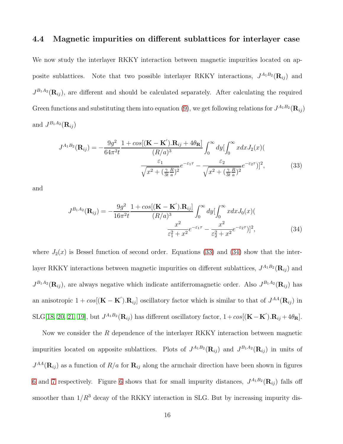#### 4.4 Magnetic impurities on different sublattices for interlayer case

We now study the interlayer RKKY interaction between magnetic impurities located on apposite sublattices. Note that two possible interlayer RKKY interactions,  $J^{A_1B_2}(\mathbf{R}_{ij})$  and  $J^{B_1A_2}(\mathbf{R}_{ij})$ , are different and should be calculated separately. After calculating the required Green functions and substituting them into equation [\(9\)](#page-5-2), we get following relations for  $J^{A_1B_2}({\bf R}_{ij})$ and  $J^{B_1A_2}(\mathbf{R}_{ij})$ 

<span id="page-15-0"></span>
$$
J^{A_1 B_2}(\mathbf{R}_{ij}) = -\frac{9g^2}{64\pi^2 t} \frac{1 + \cos[(\mathbf{K} - \mathbf{K}').\mathbf{R}_{ij} + 4\theta_{\mathbf{R}}]}{(R/a)^3} \int_0^\infty dy \left[\int_0^\infty x dx J_2(x)\right] \frac{\varepsilon_1}{\sqrt{x^2 + (\frac{\gamma}{3t} \frac{R}{a})^2}} e^{-\varepsilon_1 \tau} - \frac{\varepsilon_2}{\sqrt{x^2 + (\frac{\gamma}{3t} \frac{R}{a})^2}} e^{-\varepsilon_2 \tau}\right]^2, \tag{33}
$$

and

<span id="page-15-1"></span>
$$
J^{B_1 A_2}(\mathbf{R}_{ij}) = -\frac{9g^2}{16\pi^2 t} \frac{1 + \cos[(\mathbf{K} - \mathbf{K}^{\'}).\mathbf{R}_{ij}]}{(R/a)^3} \int_0^\infty dy \left[\int_0^\infty x dx J_0(x)\right] \frac{x^2}{\varepsilon_1^2 + x^2} e^{-\varepsilon_1 \tau} - \frac{x^2}{\varepsilon_2^2 + x^2} e^{-\varepsilon_2 \tau}\right]^2, \tag{34}
$$

where  $J_2(x)$  is Bessel function of second order. Equations [\(33\)](#page-15-0) and [\(34\)](#page-15-1) show that the interlayer RKKY interactions between magnetic impurities on different sublattices,  $J^{A_1B_2}(\mathbf{R}_{ij})$  and  $J^{B_1A_2}(\mathbf{R}_{ij})$ , are always negative which indicate antiferromagnetic order. Also  $J^{B_1A_2}(\mathbf{R}_{ij})$  has an anisotropic  $1 + cos[(\mathbf{K} - \mathbf{K}') \cdot \mathbf{R}_{ij}]$  oscillatory factor which is similar to that of  $J^{AA}(\mathbf{R}_{ij})$  in SLG[\[18,](#page-20-8) [20,](#page-21-0) [21,](#page-21-1) [19\]](#page-20-9), but  $J^{A_1B_2}(\mathbf{R}_{ij})$  has different oscillatory factor,  $1 + cos[(\mathbf{K} - \mathbf{K}') \cdot \mathbf{R}_{ij} + 4\theta_{\mathbf{R}}]$ .

Now we consider the  $R$  dependence of the interlayer RKKY interaction between magnetic impurities located on apposite sublattices. Plots of  $J^{A_1B_2}(\mathbf{R}_{ij})$  and  $J^{B_1A_2}(\mathbf{R}_{ij})$  in units of  $J^{AA}(\mathbf{R}_{ij})$  as a function of  $R/a$  for  $\mathbf{R}_{ij}$  along the armchair direction have been shown in figures [6](#page-26-1) and [7](#page-27-0) respectively. Figure [6](#page-26-1) shows that for small impurity distances,  $J^{A_1B_2}(\mathbf{R}_{ij})$  falls off smoother than  $1/R^3$  decay of the RKKY interaction in SLG. But by increasing impurity dis-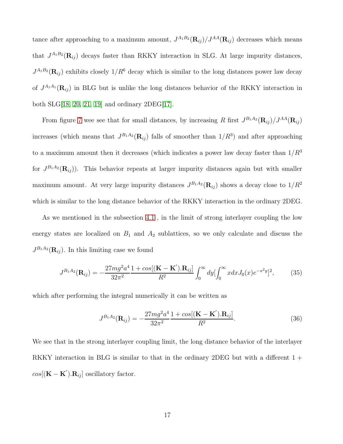tance after approaching to a maximum amount,  $J^{A_1B_2}(\mathbf{R}_{ij})/J^{AA}(\mathbf{R}_{ij})$  decreases which means that  $J^{A_1B_2}(\mathbf{R}_{ij})$  decays faster than RKKY interaction in SLG. At large impurity distances,  $J^{A_1B_2}(\mathbf{R}_{ij})$  exhibits closely  $1/R^6$  decay which is similar to the long distances power law decay of  $J^{A_1A_1}(\mathbf{R}_{ij})$  in BLG but is unlike the long distances behavior of the RKKY interaction in both SLG[\[18,](#page-20-8) [20,](#page-21-0) [21,](#page-21-1) [19\]](#page-20-9) and ordinary 2DEG[\[17\]](#page-20-7).

From figure [7](#page-27-0) wee see that for small distances, by increasing R first  $J^{B_1A_2}(\mathbf{R}_{ij})/J^{AA}(\mathbf{R}_{ij})$ increases (which means that  $J^{B_1A_2}(\mathbf{R}_{ij})$  falls of smoother than  $1/R^3$ ) and after approaching to a maximum amount then it decreases (which indicates a power law decay faster than  $1/R<sup>3</sup>$ for  $J^{B_1A_2}(\mathbf{R}_{ij})$ . This behavior repeats at larger impurity distances again but with smaller maximum amount. At very large impurity distances  $J^{B_1A_2}(\mathbf{R}_{ij})$  shows a decay close to  $1/R^2$ which is similar to the long distance behavior of the RKKY interaction in the ordinary 2DEG.

As we mentioned in the subsection [4.1](#page-6-1) , in the limit of strong interlayer coupling the low energy states are localized on  $B_1$  and  $A_2$  sublattices, so we only calculate and discuss the  $J^{B_1A_2}(\mathbf{R}_{ij})$ . In this limiting case we found

$$
J^{B_1 A_2}(\mathbf{R}_{ij}) = -\frac{27mg^2a^4}{32\pi^2} \frac{1 + \cos[(\mathbf{K} - \mathbf{K}').\mathbf{R}_{ij}]}{R^2} \int_0^\infty dy \left[\int_0^\infty x dx J_0(x)e^{-x^2y}\right]^2, \tag{35}
$$

which after performing the integral numerically it can be written as

$$
J^{B_1 A_2}(\mathbf{R}_{ij}) = -\frac{27mg^2a^4}{32\pi^2} \frac{1 + \cos[(\mathbf{K} - \mathbf{K}^{\'}).\mathbf{R}_{ij}]}{R^2}.
$$
 (36)

We see that in the strong interlayer coupling limit, the long distance behavior of the interlayer RKKY interaction in BLG is similar to that in the ordinary 2DEG but with a different  $1 +$  $cos[(\mathbf{K} - \mathbf{K}^{\'}).\mathbf{R}_{ij}]$  oscillatory factor.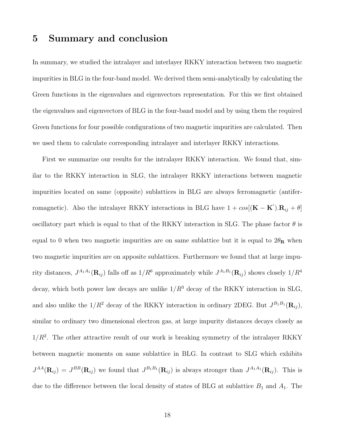## 5 Summary and conclusion

In summary, we studied the intralayer and interlayer RKKY interaction between two magnetic impurities in BLG in the four-band model. We derived them semi-analytically by calculating the Green functions in the eigenvalues and eigenvectors representation. For this we first obtained the eigenvalues and eigenvectors of BLG in the four-band model and by using them the required Green functions for four possible configurations of two magnetic impurities are calculated. Then we used them to calculate corresponding intralayer and interlayer RKKY interactions.

First we summarize our results for the intralayer RKKY interaction. We found that, similar to the RKKY interaction in SLG, the intralayer RKKY interactions between magnetic impurities located on same (opposite) sublattices in BLG are always ferromagnetic (antiferromagnetic). Also the intralayer RKKY interactions in BLG have  $1 + cos[(\mathbf{K} - \mathbf{K}') \cdot \mathbf{R}_{ij} + \theta]$ oscillatory part which is equal to that of the RKKY interaction in SLG. The phase factor  $\theta$  is equal to 0 when two magnetic impurities are on same sublattice but it is equal to  $2\theta_{\rm R}$  when two magnetic impurities are on apposite sublattices. Furthermore we found that at large impurity distances,  $J^{A_1A_1}(\mathbf{R}_{ij})$  falls off as  $1/R^6$  approximately while  $J^{A_1B_1}(\mathbf{R}_{ij})$  shows closely  $1/R^4$ decay, which both power law decays are unlike  $1/R^3$  decay of the RKKY interaction in SLG, and also unlike the  $1/R^2$  decay of the RKKY interaction in ordinary 2DEG. But  $J^{B_1B_1}(\mathbf{R}_{ij}),$ similar to ordinary two dimensional electron gas, at large impurity distances decays closely as  $1/R<sup>2</sup>$ . The other attractive result of our work is breaking symmetry of the intralayer RKKY between magnetic moments on same sublattice in BLG. In contrast to SLG which exhibits  $J^{AA}(\mathbf{R}_{ij}) = J^{BB}(\mathbf{R}_{ij})$  we found that  $J^{B_1B_1}(\mathbf{R}_{ij})$  is always stronger than  $J^{A_1A_1}(\mathbf{R}_{ij})$ . This is due to the difference between the local density of states of BLG at sublattice  $B_1$  and  $A_1$ . The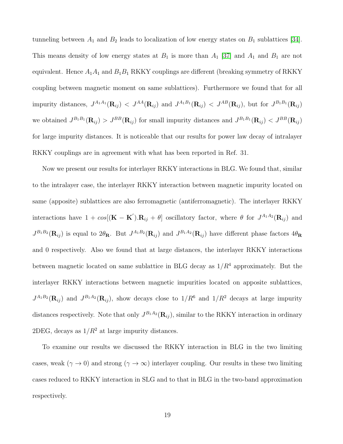tunneling between  $A_1$  and  $B_2$  leads to localization of low energy states on  $B_1$  sublattices [\[34\]](#page-22-5). This means density of low energy states at  $B_1$  is more than  $A_1$  [\[37\]](#page-22-8) and  $A_1$  and  $B_1$  are not equivalent. Hence  $A_1A_1$  and  $B_1B_1$  RKKY couplings are different (breaking symmetry of RKKY coupling between magnetic moment on same sublattices). Furthermore we found that for all impurity distances,  $J^{A_1A_1}(\mathbf{R}_{ij}) < J^{AA}(\mathbf{R}_{ij})$  and  $J^{A_1B_1}(\mathbf{R}_{ij}) < J^{AB}(\mathbf{R}_{ij})$ , but for  $J^{B_1B_1}(\mathbf{R}_{ij})$ we obtained  $J^{B_1B_1}(\mathbf{R}_{ij}) > J^{BB}(\mathbf{R}_{ij})$  for small impurity distances and  $J^{B_1B_1}(\mathbf{R}_{ij}) < J^{BB}(\mathbf{R}_{ij})$ for large impurity distances. It is noticeable that our results for power law decay of intralayer RKKY couplings are in agreement with what has been reported in Ref. 31.

Now we present our results for interlayer RKKY interactions in BLG. We found that, similar to the intralayer case, the interlayer RKKY interaction between magnetic impurity located on same (apposite) sublattices are also ferromagnetic (antiferromagnetic). The interlayer RKKY interactions have  $1 + cos[(\mathbf{K} - \mathbf{K}') \cdot \mathbf{R}_{ij} + \theta]$  oscillatory factor, where  $\theta$  for  $J^{A_1 A_2}(\mathbf{R}_{ij})$  and  $J^{B_1B_2}(\mathbf{R}_{ij})$  is equal to  $2\theta_\mathbf{R}$ . But  $J^{A_1B_2}(\mathbf{R}_{ij})$  and  $J^{B_1A_2}(\mathbf{R}_{ij})$  have different phase factors  $4\theta_\mathbf{R}$ and 0 respectively. Also we found that at large distances, the interlayer RKKY interactions between magnetic located on same sublattice in BLG decay as  $1/R<sup>4</sup>$  approximately. But the interlayer RKKY interactions between magnetic impurities located on apposite sublattices,  $J^{A_1B_2}(\mathbf{R}_{ij})$  and  $J^{B_1A_2}(\mathbf{R}_{ij})$ , show decays close to  $1/R^6$  and  $1/R^2$  decays at large impurity distances respectively. Note that only  $J^{B_1A_2}(\mathbf{R}_{ij})$ , similar to the RKKY interaction in ordinary 2DEG, decays as  $1/R^2$  at large impurity distances.

To examine our results we discussed the RKKY interaction in BLG in the two limiting cases, weak ( $\gamma \to 0$ ) and strong ( $\gamma \to \infty$ ) interlayer coupling. Our results in these two limiting cases reduced to RKKY interaction in SLG and to that in BLG in the two-band approximation respectively.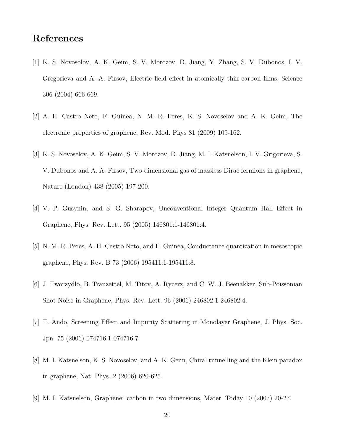## <span id="page-19-0"></span>References

- <span id="page-19-1"></span>[1] K. S. Novosolov, A. K. Geim, S. V. Morozov, D. Jiang, Y. Zhang, S. V. Dubonos, I. V. Gregorieva and A. A. Firsov, Electric field effect in atomically thin carbon films, Science 306 (2004) 666-669.
- <span id="page-19-2"></span>[2] A. H. Castro Neto, F. Guinea, N. M. R. Peres, K. S. Novoselov and A. K. Geim, The electronic properties of graphene, Rev. Mod. Phys 81 (2009) 109-162.
- <span id="page-19-3"></span>[3] K. S. Novoselov, A. K. Geim, S. V. Morozov, D. Jiang, M. I. Katsnelson, I. V. Grigorieva, S. V. Dubonos and A. A. Firsov, Two-dimensional gas of massless Dirac fermions in graphene, Nature (London) 438 (2005) 197-200.
- <span id="page-19-4"></span>[4] V. P. Gusynin, and S. G. Sharapov, Unconventional Integer Quantum Hall Effect in Graphene, Phys. Rev. Lett. 95 (2005) 146801:1-146801:4.
- <span id="page-19-5"></span>[5] N. M. R. Peres, A. H. Castro Neto, and F. Guinea, Conductance quantization in mesoscopic graphene, Phys. Rev. B 73 (2006) 195411:1-195411:8.
- <span id="page-19-6"></span>[6] J. Tworzydlo, B. Trauzettel, M. Titov, A. Rycerz, and C. W. J. Beenakker, Sub-Poissonian Shot Noise in Graphene, Phys. Rev. Lett. 96 (2006) 246802:1-246802:4.
- <span id="page-19-7"></span>[7] T. Ando, Screening Effect and Impurity Scattering in Monolayer Graphene, J. Phys. Soc. Jpn. 75 (2006) 074716:1-074716:7.
- <span id="page-19-8"></span>[8] M. I. Katsnelson, K. S. Novoselov, and A. K. Geim, Chiral tunnelling and the Klein paradox in graphene, Nat. Phys. 2 (2006) 620-625.
- [9] M. I. Katsnelson, Graphene: carbon in two dimensions, Mater. Today 10 (2007) 20-27.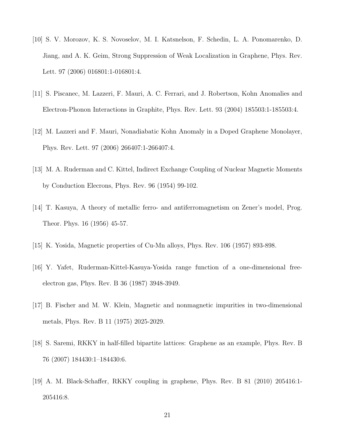- <span id="page-20-1"></span><span id="page-20-0"></span>[10] S. V. Morozov, K. S. Novoselov, M. I. Katsnelson, F. Schedin, L. A. Ponomarenko, D. Jiang, and A. K. Geim, Strong Suppression of Weak Localization in Graphene, Phys. Rev. Lett. 97 (2006) 016801:1-016801:4.
- <span id="page-20-2"></span>[11] S. Piscanec, M. Lazzeri, F. Mauri, A. C. Ferrari, and J. Robertson, Kohn Anomalies and Electron-Phonon Interactions in Graphite, Phys. Rev. Lett. 93 (2004) 185503:1-185503:4.
- <span id="page-20-3"></span>[12] M. Lazzeri and F. Mauri, Nonadiabatic Kohn Anomaly in a Doped Graphene Monolayer, Phys. Rev. Lett. 97 (2006) 266407:1-266407:4.
- <span id="page-20-4"></span>[13] M. A. Ruderman and C. Kittel, Indirect Exchange Coupling of Nuclear Magnetic Moments by Conduction Elecrons, Phys. Rev. 96 (1954) 99-102.
- <span id="page-20-5"></span>[14] T. Kasuya, A theory of metallic ferro- and antiferromagnetism on Zener's model, Prog. Theor. Phys. 16 (1956) 45-57.
- <span id="page-20-6"></span>[15] K. Yosida, Magnetic properties of Cu-Mn alloys, Phys. Rev. 106 (1957) 893-898.
- <span id="page-20-7"></span>[16] Y. Yafet, Ruderman-Kittel-Kasuya-Yosida range function of a one-dimensional freeelectron gas, Phys. Rev. B 36 (1987) 3948-3949.
- <span id="page-20-8"></span>[17] B. Fischer and M. W. Klein, Magnetic and nonmagnetic impurities in two-dimensional metals, Phys. Rev. B 11 (1975) 2025-2029.
- <span id="page-20-9"></span>[18] S. Saremi, RKKY in half-filled bipartite lattices: Graphene as an example, Phys. Rev. B 76 (2007) 184430:1–184430:6.
- [19] A. M. Black-Schaffer, RKKY coupling in graphene, Phys. Rev. B 81 (2010) 205416:1- 205416:8.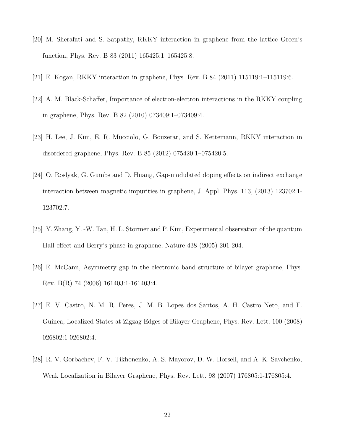- <span id="page-21-1"></span><span id="page-21-0"></span>[20] M. Sherafati and S. Satpathy, RKKY interaction in graphene from the lattice Green's function, Phys. Rev. B 83 (2011) 165425:1–165425:8.
- <span id="page-21-2"></span>[21] E. Kogan, RKKY interaction in graphene, Phys. Rev. B 84 (2011) 115119:1–115119:6.
- <span id="page-21-3"></span>[22] A. M. Black-Schaffer, Importance of electron-electron interactions in the RKKY coupling in graphene, Phys. Rev. B 82 (2010) 073409:1–073409:4.
- <span id="page-21-4"></span>[23] H. Lee, J. Kim, E. R. Mucciolo, G. Bouzerar, and S. Kettemann, RKKY interaction in disordered graphene, Phys. Rev. B 85 (2012) 075420:1–075420:5.
- <span id="page-21-5"></span>[24] O. Roslyak, G. Gumbs and D. Huang, Gap-modulated doping effects on indirect exchange interaction between magnetic impurities in graphene, J. Appl. Phys. 113, (2013) 123702:1- 123702:7.
- <span id="page-21-6"></span>[25] Y. Zhang, Y. -W. Tan, H. L. Stormer and P. Kim, Experimental observation of the quantum Hall effect and Berry's phase in graphene, Nature 438 (2005) 201-204.
- <span id="page-21-7"></span>[26] E. McCann, Asymmetry gap in the electronic band structure of bilayer graphene, Phys. Rev. B(R) 74 (2006) 161403:1-161403:4.
- <span id="page-21-8"></span>[27] E. V. Castro, N. M. R. Peres, J. M. B. Lopes dos Santos, A. H. Castro Neto, and F. Guinea, Localized States at Zigzag Edges of Bilayer Graphene, Phys. Rev. Lett. 100 (2008) 026802:1-026802:4.
- [28] R. V. Gorbachev, F. V. Tikhonenko, A. S. Mayorov, D. W. Horsell, and A. K. Savchenko, Weak Localization in Bilayer Graphene, Phys. Rev. Lett. 98 (2007) 176805:1-176805:4.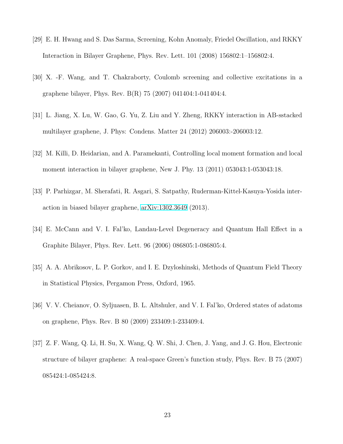- <span id="page-22-1"></span><span id="page-22-0"></span>[29] E. H. Hwang and S. Das Sarma, Screening, Kohn Anomaly, Friedel Oscillation, and RKKY Interaction in Bilayer Graphene, Phys. Rev. Lett. 101 (2008) 156802:1–156802:4.
- <span id="page-22-2"></span>[30] X. -F. Wang, and T. Chakraborty, Coulomb screening and collective excitations in a graphene bilayer, Phys. Rev. B(R) 75 (2007) 041404:1-041404:4.
- <span id="page-22-3"></span>[31] L. Jiang, X. Lu, W. Gao, G. Yu, Z. Liu and Y. Zheng, RKKY interaction in AB-sstacked multilayer graphene, J. Phys: Condens. Matter 24 (2012) 206003:-206003:12.
- <span id="page-22-4"></span>[32] M. Killi, D. Heidarian, and A. Paramekanti, Controlling local moment formation and local moment interaction in bilayer graphene, New J. Phy. 13 (2011) 053043:1-053043:18.
- <span id="page-22-5"></span>[33] P. Parhizgar, M. Sherafati, R. Asgari, S. Satpathy, Ruderman-Kittel-Kasuya-Yosida interaction in biased bilayer graphene, [arXiv:1302.3649](http://arxiv.org/abs/1302.3649) (2013).
- <span id="page-22-6"></span>[34] E. McCann and V. I. Fal'ko, Landau-Level Degeneracy and Quantum Hall Effect in a Graphite Bilayer, Phys. Rev. Lett. 96 (2006) 086805:1-086805:4.
- <span id="page-22-7"></span>[35] A. A. Abrikosov, L. P. Gorkov, and I. E. Dzyloshinski, Methods of Quantum Field Theory in Statistical Physics, Pergamon Press, Oxford, 1965.
- <span id="page-22-8"></span>[36] V. V. Cheianov, O. Syljuasen, B. L. Altshuler, and V. I. Fal'ko, Ordered states of adatoms on graphene, Phys. Rev. B 80 (2009) 233409:1-233409:4.
- [37] Z. F. Wang, Q. Li, H. Su, X. Wang, Q. W. Shi, J. Chen, J. Yang, and J. G. Hou, Electronic structure of bilayer graphene: A real-space Green's function study, Phys. Rev. B 75 (2007) 085424:1-085424:8.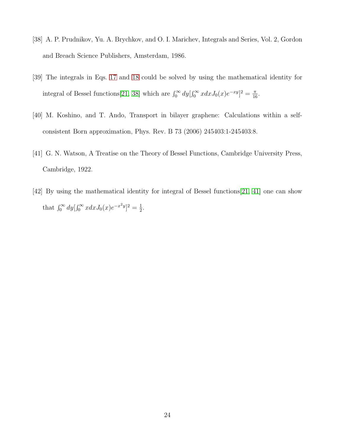- <span id="page-23-1"></span><span id="page-23-0"></span>[38] A. P. Prudnikov, Yu. A. Brychkov, and O. I. Marichev, Integrals and Series, Vol. 2, Gordon and Breach Science Publishers, Amsterdam, 1986.
- <span id="page-23-2"></span>[39] The integrals in Eqs. [17](#page-10-1) and [18](#page-10-2) could be solved by using the mathematical identity for integral of Bessel functions[\[21,](#page-21-1) [38\]](#page-23-0) which are  $\int_0^\infty dy \left[ \int_0^\infty x dx J_0(x) e^{-xy} \right]^2 = \frac{\pi}{16}$ .
- <span id="page-23-3"></span>[40] M. Koshino, and T. Ando, Transport in bilayer graphene: Calculations within a selfconsistent Born approximation, Phys. Rev. B 73 (2006) 245403:1-245403:8.
- <span id="page-23-4"></span>[41] G. N. Watson, A Treatise on the Theory of Bessel Functions, Cambridge University Press, Cambridge, 1922.
- [42] By using the mathematical identity for integral of Bessel functions[\[21,](#page-21-1) [41\]](#page-23-3) one can show that  $\int_0^\infty dy \left[ \int_0^\infty x dx J_0(x) e^{-x^2 y} \right]^2 = \frac{1}{2}$  $\frac{1}{2}$ .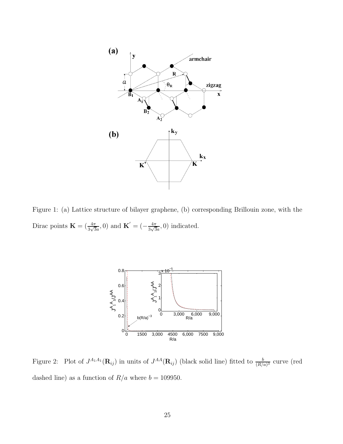

<span id="page-24-0"></span>Figure 1: (a) Lattice structure of bilayer graphene, (b) corresponding Brillouin zone, with the Dirac points  $\mathbf{K} = (\frac{4\pi}{3\sqrt{3}a}, 0)$  and  $\mathbf{K}' = (-\frac{4\pi}{3\sqrt{3}a})$  $\frac{4\pi}{3\sqrt{3}a}$ , 0) indicated.



<span id="page-24-1"></span>Figure 2: Plot of  $J^{A_1A_1}(\mathbf{R}_{ij})$  in units of  $J^{AA}(\mathbf{R}_{ij})$  (black solid line) fitted to  $\frac{b}{(R/a)^3}$  curve (red dashed line) as a function of  $R/a$  where  $b = 109950$ .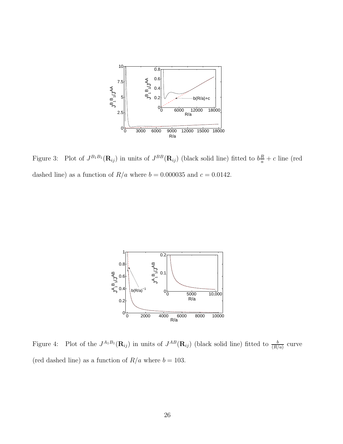

<span id="page-25-0"></span>Figure 3: Plot of  $J^{B_1B_1}(\mathbf{R}_{ij})$  in units of  $J^{BB}(\mathbf{R}_{ij})$  (black solid line) fitted to  $b\frac{R}{a}+c$  line (red dashed line) as a function of  $R/a$  where  $b = 0.000035$  and  $c = 0.0142$ .



<span id="page-25-1"></span>Figure 4: Plot of the  $J^{A_1B_1}(\mathbf{R}_{ij})$  in units of  $J^{AB}(\mathbf{R}_{ij})$  (black solid line) fitted to  $\frac{b}{(R/a)}$  curve (red dashed line) as a function of  $R/a$  where  $b = 103$ .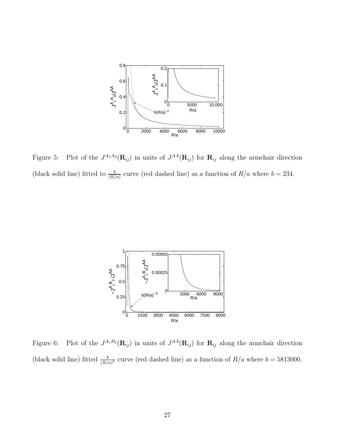

<span id="page-26-0"></span>Figure 5: Plot of the  $J^{A_1A_2}(\mathbf{R}_{ij})$  in units of  $J^{AA}(\mathbf{R}_{ij})$  for  $\mathbf{R}_{ij}$  along the armchair direction (black solid line) fitted to  $\frac{b}{(R/a)}$  curve (red dashed line) as a function of  $R/a$  where  $b = 234$ .



<span id="page-26-1"></span>Figure 6: Plot of the  $J^{A_1B_2}(\mathbf{R}_{ij})$  in units of  $J^{AA}(\mathbf{R}_{ij})$  for  $\mathbf{R}_{ij}$  along the armchair direction (black solid line) fitted  $\frac{b}{(R/a)^3}$  curve (red dashed line) as a function of  $R/a$  where  $b = 5813000$ .